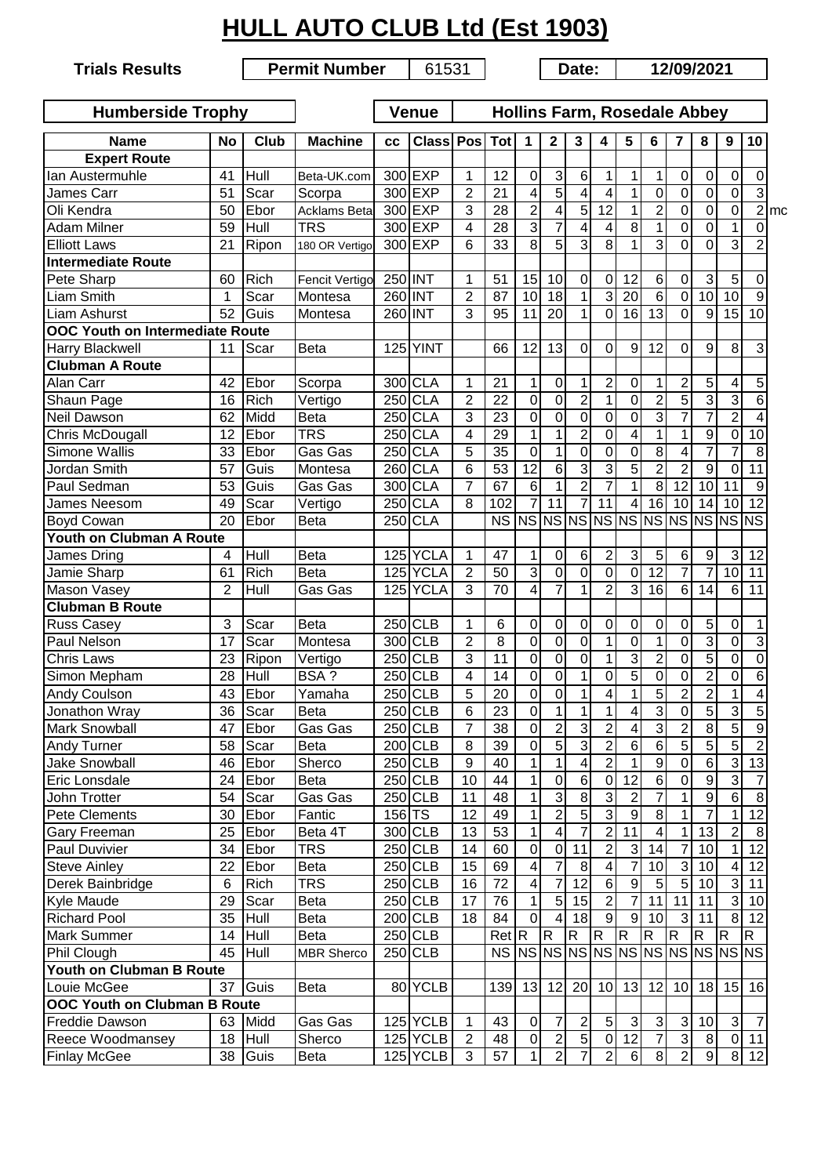## **HULL AUTO CLUB Ltd (Est 1903)**

**Trials Results**

**Permit Number** | 61531 | Date: | 12/09/2021

| <b>Humberside Trophy</b>               |                 |             |                       |                     | <b>Venue</b>    | <b>Hollins Farm, Rosedale Abbey</b> |                 |                 |                 |                         |                 |                 |                 |                |                 |                                     |                         |                   |
|----------------------------------------|-----------------|-------------|-----------------------|---------------------|-----------------|-------------------------------------|-----------------|-----------------|-----------------|-------------------------|-----------------|-----------------|-----------------|----------------|-----------------|-------------------------------------|-------------------------|-------------------|
| <b>Name</b>                            | No              | Club        | <b>Machine</b>        | СC                  | <b>Class</b>    | Pos                                 | <b>Tot</b>      | 1               | 2               | 3                       | 4               | 5               | 6               | 7              | 8               | 9                                   | 10                      |                   |
| <b>Expert Route</b>                    |                 |             |                       |                     |                 |                                     |                 |                 |                 |                         |                 |                 |                 |                |                 |                                     |                         |                   |
| Ian Austermuhle                        | 41              | Hull        | Beta-UK.com           |                     | 300 EXP         | 1                                   | 12              | 0               | $\sqrt{3}$      | 6                       | 1               | 1               | 1               | $\mathbf 0$    | 0               | $\mathbf 0$                         | 0                       |                   |
| James Carr                             | 51              | Scar        | Scorpa                |                     | 300 EXP         | $\overline{2}$                      | 21              | 4               | $\overline{5}$  | 4                       | 4               | 1               | 0               | $\mathbf 0$    | 0               | $\mathbf 0$                         | $\overline{3}$          |                   |
| Oli Kendra                             | 50              | Ebor        | Acklams Beta          |                     | 300 EXP         | 3                                   | 28              | $\overline{2}$  | 4               | $\overline{5}$          | $\overline{12}$ | 1               | $\overline{2}$  | $\mathbf 0$    | 0               | $\mathbf 0$                         |                         | $2$ <sub>mc</sub> |
| <b>Adam Milner</b>                     | 59              | Hull        | <b>TRS</b>            |                     | 300 EXP         | $\overline{4}$                      | 28              | 3               | 7               | 4                       | 4               | 8               | $\mathbf{1}$    | 0              | 0               | 1                                   | 0                       |                   |
| <b>Elliott Laws</b>                    | 21              | Ripon       | 180 OR Vertigo        |                     | 300 EXP         | 6                                   | 33              | $\overline{8}$  | $\overline{5}$  | 3                       | 8               | 1               | $\overline{3}$  | $\overline{0}$ | 0               | 3                                   | $\overline{2}$          |                   |
| <b>Intermediate Route</b>              |                 |             |                       |                     |                 |                                     |                 |                 |                 |                         |                 |                 |                 |                |                 |                                     |                         |                   |
| Pete Sharp                             | 60              | <b>Rich</b> | <b>Fencit Vertigo</b> |                     | 250 INT         | 1                                   | 51              | 15              | 10              | 0                       | 0               | 12              | $\,6\,$         | 0              | 3               | $\overline{5}$                      | $\mathbf 0$             |                   |
| <b>Liam Smith</b>                      | 1               | Scar        | Montesa               |                     | 260 INT         | $\overline{c}$                      | 87              | 10              | 18              | 1                       | 3               | 20              | $\overline{6}$  | 0              | $\overline{10}$ | $\overline{10}$                     | 9                       |                   |
| Liam Ashurst                           | 52              | Guis        | Montesa               |                     | 260 INT         | 3                                   | 95              | 11              | 20              | $\mathbf{1}$            | $\mathbf 0$     | 16              | $\overline{13}$ | $\Omega$       | 9               | 15                                  | 10                      |                   |
| <b>OOC Youth on Intermediate Route</b> |                 |             |                       |                     |                 |                                     |                 |                 |                 |                         |                 |                 |                 |                |                 |                                     |                         |                   |
| Harry Blackwell                        | 11              | Scar        | <b>Beta</b>           |                     | <b>125 YINT</b> |                                     | 66              | 12              | 13              | 0                       | 0               | 9               | 12              | $\Omega$       | 9               | 8                                   | 3                       |                   |
| <b>Clubman A Route</b>                 |                 |             |                       |                     |                 |                                     |                 |                 |                 |                         |                 |                 |                 |                |                 |                                     |                         |                   |
| Alan Carr                              | 42              | Ebor        | Scorpa                |                     | 300 CLA         | 1                                   | 21              | 1               | $\overline{0}$  | 1                       | $\overline{c}$  | 0               | 1               | $\overline{2}$ | 5               | 4                                   | 5                       |                   |
| Shaun Page                             | 16              | <b>Rich</b> | Vertigo               |                     | 250 CLA         | $\overline{2}$                      | 22              | 0               | $\overline{0}$  | $\overline{2}$          | 1               | $\mathbf 0$     | $\overline{2}$  | 5              | 3               | 3                                   | $6 \overline{}$         |                   |
| <b>Neil Dawson</b>                     | 62              | Midd        | Beta                  |                     | 250 CLA         | 3                                   | 23              | $\mathbf 0$     | $\overline{0}$  | $\mathbf 0$             | 0               | $\overline{0}$  | 3               | $\overline{7}$ | 7               | $\overline{2}$                      | 4                       |                   |
| Chris McDougall                        | 12              | Ebor        | <b>TRS</b>            |                     | 250 CLA         | 4                                   | 29              | 1               | 1               | $\overline{2}$          | 0               | 4               | $\mathbf{1}$    | $\mathbf{1}$   | 9               | $\mathbf 0$                         | 10                      |                   |
| Simone Wallis                          | 33              | Ebor        | Gas Gas               |                     | <b>250 CLA</b>  | 5                                   | $\overline{35}$ | $\overline{0}$  | $\mathbf{1}$    | $\overline{0}$          | $\overline{0}$  | $\mathbf 0$     | $\overline{8}$  | 4              | $\overline{7}$  | $\overline{7}$                      | $\overline{8}$          |                   |
| Jordan Smith                           | 57              | Guis        | Montesa               |                     | <b>260 CLA</b>  | 6                                   | $\overline{53}$ | $\overline{12}$ | $\overline{6}$  | 3                       | 3               | $\overline{5}$  | $\overline{2}$  | $\overline{2}$ | $\overline{9}$  | $\mathbf 0$                         | $\overline{11}$         |                   |
| Paul Sedman                            | 53              | Guis        | Gas Gas               |                     | 300 CLA         | $\overline{7}$                      | 67              | 6               | 1               | $\overline{2}$          | $\overline{7}$  | 1               | $\overline{8}$  | 12             | 10              | $\overline{11}$                     | $\overline{9}$          |                   |
| <b>James Neesom</b>                    | 49              | Scar        | Vertigo               |                     | <b>250 CLA</b>  | 8                                   | 102             | 7               | $\overline{11}$ | 7                       | 11              | 4               | 16              | 10             | 14              | 10                                  | 12                      |                   |
| <b>Boyd Cowan</b>                      | $\overline{20}$ | Ebor        | <b>Beta</b>           |                     | <b>250 CLA</b>  |                                     | <b>NS</b>       |                 |                 |                         |                 |                 |                 |                |                 | NS NS NS NS NS NS NS NS NS NS NS    |                         |                   |
| Youth on Clubman A Route               |                 |             |                       |                     |                 |                                     |                 |                 |                 |                         |                 |                 |                 |                |                 |                                     |                         |                   |
| James Dring                            | $\overline{4}$  | Hull        | Beta                  |                     | 125 YCLA        | 1                                   | 47              | 1               | $\overline{0}$  | $\,6$                   | $\overline{c}$  | 3               | 5               | 6              | 9               | $\sqrt{3}$                          | 12                      |                   |
| Jamie Sharp                            | 61              | Rich        | <b>Beta</b>           |                     | 125 YCLA        | $\overline{2}$                      | 50              | 3               | $\mathbf 0$     | 0                       | 0               | 0               | $\overline{12}$ | $\overline{7}$ | $\overline{7}$  | 10                                  | 11                      |                   |
| Mason Vasey                            | $\overline{2}$  | Hull        | Gas Gas               |                     | 125 YCLA        | 3                                   | 70              | 4               | 7               | 1                       | $\overline{2}$  | 3               | 16              | 6              | 14              | 6                                   | 11                      |                   |
| <b>Clubman B Route</b>                 |                 |             |                       |                     |                 |                                     |                 |                 |                 |                         |                 |                 |                 |                |                 |                                     |                         |                   |
| <b>Russ Casey</b>                      | 3               | Scar        | <b>Beta</b>           |                     | 250 CLB         | 1                                   | 6               | 0               | $\pmb{0}$       | 0                       | 0               | 0               | 0               | 0              | 5               | 0                                   | 1                       |                   |
| Paul Nelson                            | 17              | Scar        | Montesa               |                     | 300 CLB         | $\overline{2}$                      | 8               | 0               | $\mathsf 0$     | 0                       | 1               | 0               | 1               | 0              | $\overline{3}$  | $\mathbf 0$                         | $\overline{3}$          |                   |
| <b>Chris Laws</b>                      | 23              | Ripon       | Vertigo               |                     | $250$ CLB       | 3                                   | 11              | $\Omega$        | $\overline{0}$  | 0                       | 1               | 3               | $\overline{2}$  | 0              | $\overline{5}$  | 0                                   | $\overline{0}$          |                   |
| Simon Mepham                           | 28              | Hull        | BSA ?                 |                     | $250$ CLB       | $\overline{4}$                      | 14              | $\mathbf 0$     | $\overline{0}$  | $\mathbf 1$             | 0               | $\overline{5}$  | 0               | $\mathbf 0$    | $\overline{2}$  | $\mathbf 0$                         | $\overline{6}$          |                   |
| <b>Andy Coulson</b>                    | 43              | Ebor        | Yamaha                |                     | $250$ CLB       | 5                                   | 20              | $\mathbf 0$     | $\overline{0}$  | 1                       | 4               | 1               | 5               | $\overline{c}$ | $\overline{c}$  | 1                                   | $\overline{\mathbf{4}}$ |                   |
| Jonathon Wray                          | 36              | Scar        | Beta                  |                     | $250$ CLB       | 6                                   | 23              | $\mathbf 0$     | $\mathbf{1}$    | $\mathbf 1$             | 1               | 4               | 3               | $\mathbf 0$    | $\overline{5}$  | $\overline{3}$                      | $\overline{5}$          |                   |
| Mark Snowball                          |                 | 47 Ebor     | Gas Gas               |                     | $250$ CLB       | 7                                   | $\overline{38}$ | 0               | $\overline{2}$  | 3                       | $\overline{2}$  | 4               | $\overline{3}$  | $\overline{2}$ | $\overline{8}$  | 5                                   | $\overline{9}$          |                   |
| <b>Andy Turner</b>                     | 58              | Scar        | Beta                  |                     | <b>200 CLB</b>  | 8                                   | 39              | $\mathbf 0$     | $\overline{5}$  | $\overline{3}$          | $\overline{2}$  | $\overline{6}$  | $\overline{6}$  | $\overline{5}$ | $\overline{5}$  | $\overline{5}$                      | $\overline{2}$          |                   |
| <b>Jake Snowball</b>                   |                 | 46 Ebor     | Sherco                |                     | $250$ CLB       | 9                                   | 40              | 1               | $\overline{1}$  | $\overline{\mathbf{4}}$ | $\overline{2}$  |                 | $\overline{9}$  | $\overline{0}$ | $\overline{6}$  | $\overline{3}$                      | 13                      |                   |
| Eric Lonsdale                          |                 | 24 Ebor     | Beta                  |                     | $250$ CLB       | 10                                  | 44              | 1               | $\overline{0}$  | 6                       | $\overline{0}$  | 12              | $\overline{6}$  | $\mathbf 0$    | 9               | $\overline{3}$                      | $\overline{7}$          |                   |
| John Trotter                           | 54              | Scar        | Gas Gas               |                     | $250$ CLB       | 11                                  | 48              | 1               | $\overline{3}$  | 8                       | 3               | 2               | $\overline{7}$  |                | 9               | $6\phantom{.}$                      | 8 <sup>1</sup>          |                   |
| Pete Clements                          | 30              | Ebor        | Fantic                | $156$ <sub>TS</sub> |                 | 12                                  | 49              | 1               | $\overline{2}$  | $\overline{5}$          | ω               | 9               | 8               |                | 7               | 1                                   | 12                      |                   |
| Gary Freeman                           | 25              | Ebor        | Beta 4T               |                     | 300 CLB         | 13                                  | 53              | 1               | $\overline{4}$  | 7                       | 2               | 11              | $\overline{4}$  | 1              | 13              | $\sqrt{2}$                          | 8 <sup>1</sup>          |                   |
| Paul Duvivier                          | 34              | Ebor        | <b>TRS</b>            |                     | $250$ CLB       | 14                                  | 60              | 0               | $\overline{0}$  | 11                      | 2               | 3               | 14              | 7              | 10              | 1                                   | 12                      |                   |
| <b>Steve Ainley</b>                    | 22              | Ebor        | Beta                  |                     | $250$ CLB       | 15                                  | 69              | 4               | 7               | 8                       | 4               | 7               | 10              | 3              | 10              | $\overline{4}$                      | 12                      |                   |
| Derek Bainbridge                       | 6               | <b>Rich</b> | <b>TRS</b>            |                     | $250$ CLB       | 16                                  | 72              | 4               | 7               | 12                      | $\,6$           | 9               | 5               | $\overline{5}$ | 10              | 3 <sup>1</sup>                      | 11                      |                   |
| Kyle Maude                             | 29              | Scar        | <b>Beta</b>           |                     | $250$ CLB       | 17                                  | 76              | 1               | 5 <sub>l</sub>  | 15                      | $\overline{2}$  |                 | 11              | 11             | 11              | $\mathbf{3}$                        | 10                      |                   |
| <b>Richard Pool</b>                    | 35              | Hull        | Beta                  |                     | $200$ CLB       | 18                                  | 84              | 0               | 41              | 18                      | $\overline{9}$  | 9               | 10              | 3              | 11              | 8                                   | 12                      |                   |
| <b>Mark Summer</b>                     | 14              | Hull        | Beta                  |                     | $250$ CLB       |                                     | RetR            |                 | R               | R                       | R               | $\overline{R}$  | $\mathsf{R}$    | R              | R               | R.                                  | R                       |                   |
| Phil Clough                            |                 | 45 Hull     | <b>MBR Sherco</b>     |                     | $250$ CLB       |                                     |                 |                 |                 |                         |                 |                 |                 |                |                 | NS NS NS NS NS NS NS NS NS NS NS NS |                         |                   |
| Youth on Clubman B Route               |                 |             |                       |                     |                 |                                     |                 |                 |                 |                         |                 |                 |                 |                |                 |                                     |                         |                   |
| Louie McGee                            | 37              | Guis        | <b>Beta</b>           |                     | 80 YCLB         |                                     | 139             | 13              | 12              | 20                      | 10              | 13              | 12              | 10             | 18              |                                     | $15$ 16                 |                   |
| <b>OOC Youth on Clubman B Route</b>    |                 |             |                       |                     |                 |                                     |                 |                 |                 |                         |                 |                 |                 |                |                 |                                     |                         |                   |
| Freddie Dawson                         |                 | 63 Midd     | Gas Gas               |                     | $125$ YCLB      | 1                                   | 43              | 0               | 7               | $\overline{2}$          | $\sqrt{5}$      | $\sqrt{3}$      | $\sqrt{3}$      | $\sqrt{3}$     | 10              | $\mathbf{3}$                        | $\overline{7}$          |                   |
| Reece Woodmansey                       | 18              | Hull        | Sherco                |                     | $125$ YCLB      | $\overline{2}$                      | 48              | $\mathbf 0$     | $\overline{2}$  | $\overline{5}$          | $\overline{0}$  | $\overline{12}$ | $\overline{7}$  | $\overline{3}$ | $\infty$        |                                     | $0$ 11                  |                   |
| <b>Finlay McGee</b>                    |                 | 38 Guis     | Beta                  |                     | $125$ $YCLB$    | 3                                   | 57              | 1               | $\overline{2}$  | $\overline{7}$          | $\overline{2}$  | $\,6$           | $\overline{8}$  | $\overline{2}$ | $\overline{9}$  |                                     | $8 \overline{)12}$      |                   |
|                                        |                 |             |                       |                     |                 |                                     |                 |                 |                 |                         |                 |                 |                 |                |                 |                                     |                         |                   |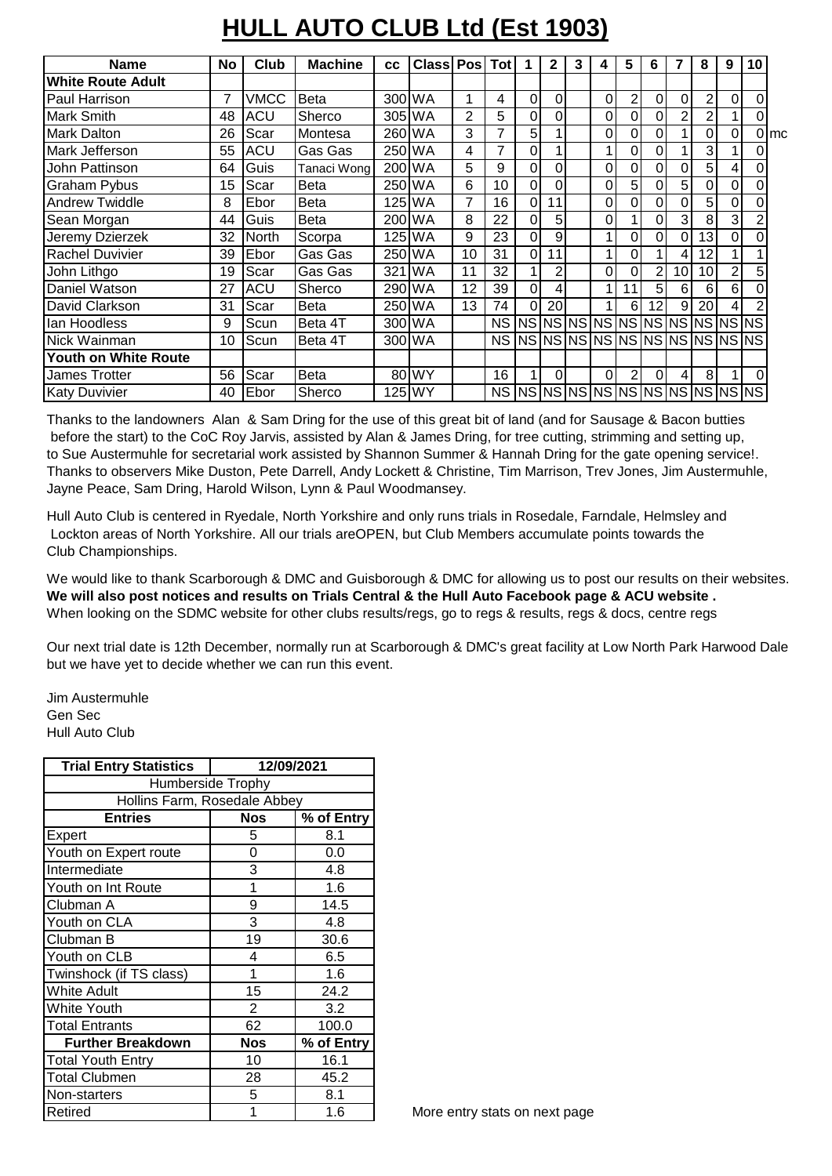## **HULL AUTO CLUB Ltd (Est 1903)**

| <b>Name</b>              | <b>No</b> | Club  | <b>Machine</b> | cc  | <b>Class Pos</b> |    | Tot            |                                   | 2        | 3 | 4  | 5              | 6              |    | 8  | 9 | 10       |                  |
|--------------------------|-----------|-------|----------------|-----|------------------|----|----------------|-----------------------------------|----------|---|----|----------------|----------------|----|----|---|----------|------------------|
| <b>White Route Adult</b> |           |       |                |     |                  |    |                |                                   |          |   |    |                |                |    |    |   |          |                  |
| <b>Paul Harrison</b>     | 7         | VMCC  | <b>Beta</b>    |     | 300 WA           | 1  | 4              | 0                                 | $\Omega$ |   | 01 | $\overline{c}$ | 0              | 0  | 2  | 0 | 0        |                  |
| <b>Mark Smith</b>        | 48        | ACU   | Sherco         |     | 305 WA           | 2  | 5              | 0                                 | 0        |   | 0l | 0              | 0              | 2  | 2  |   | 0        |                  |
| <b>Mark Dalton</b>       | 26        | Scar  | Montesa        |     | 260 WA           | 3  | $\overline{7}$ | 5                                 |          |   | οI | 0              | 0              |    | 0  | 0 |          | $0 \, \text{mc}$ |
| Mark Jefferson           | 55        | ACU   | Gas Gas        |     | 250 WA           | 4  | 7              | 0                                 |          |   |    | 0              | 0              |    | 3  |   | 0        |                  |
| Uohn Pattinson           | 64        | Guis  | Tanaci Wong    |     | 200 WA           | 5  | 9              | 0                                 | 0        |   | 0l | 0              | 0              | 0  | 5  | 4 | 0        |                  |
| <b>Graham Pybus</b>      | 15        | Scar  | Beta           |     | 250 WA           | 6  | 10             | 0                                 | 0        |   | 0l | 5              | 0              | 5  | 0  | 0 | 0        |                  |
| <b>Andrew Twiddle</b>    | 8         | Ebor  | <b>Beta</b>    |     | 125 IWA          |    | 16             | 0                                 | 11       |   | 0I | 0              | 0              | 0  | 5  | 0 | 0        |                  |
| Sean Morgan              | 44        | Guis  | Beta           |     | 200 WA           | 8  | 22             | 0                                 | 5        |   | 0l |                | 0              | 3  | 8  | 3 | 2        |                  |
| Jeremy Dzierzek          | 32        | North | Scorpa         |     | 125 WA           | 9  | 23             | 0                                 | 9        |   |    | 0              | 0              | 0  | 13 | 0 | $\Omega$ |                  |
| <b>Rachel Duvivier</b>   | 39        | Ebor  | Gas Gas        |     | 250 WA           | 10 | 31             | 0                                 | 11       |   |    | 0              |                | 4  | 12 |   |          |                  |
| John Lithgo              | 19        | Scar  | Gas Gas        | 321 | <b>IWA</b>       | 11 | 32             |                                   | 2        |   | οI | 0              | $\overline{2}$ | 10 | 10 | 2 | 5        |                  |
| Daniel Watson            | 27        | ACU   | Sherco         |     | 290 WA           | 12 | 39             | 0                                 | 4        |   |    | 11             | 5              | 6  | 6  | 6 | 0        |                  |
| David Clarkson           | 31        | Scar  | <b>Beta</b>    |     | 250 WA           | 13 | 74             | $\Omega$                          | 20       |   |    | 6              | 12             | 9  | 20 | 4 | 2        |                  |
| llan Hoodless            | 9         | Scun  | Beta 4T        |     | 300 WA           |    |                |                                   |          |   |    |                |                |    |    |   |          |                  |
| Nick Wainman             | 10        | Scun  | Beta 4T        |     | 300 WA           |    |                | NS  NS NS NS NS NS NS NS NS NS NS |          |   |    |                |                |    |    |   |          |                  |
| Youth on White Route     |           |       |                |     |                  |    |                |                                   |          |   |    |                |                |    |    |   |          |                  |
| <b>James Trotter</b>     | 56        | Scar  | Beta           |     | 80 WY            |    | 16             |                                   | $\Omega$ |   | 0I | 2              | $\Omega$       | 4  | 8  |   | $\Omega$ |                  |
| <b>Katy Duvivier</b>     | 40        | Ebor  | Sherco         |     | 125 WY           |    |                | NS INSINSINS INSINSINS INSINSINS  |          |   |    |                |                |    |    |   |          |                  |

Thanks to the landowners Alan & Sam Dring for the use of this great bit of land (and for Sausage & Bacon butties before the start) to the CoC Roy Jarvis, assisted by Alan & James Dring, for tree cutting, strimming and setting up, to Sue Austermuhle for secretarial work assisted by Shannon Summer & Hannah Dring for the gate opening service!. Thanks to observers Mike Duston, Pete Darrell, Andy Lockett & Christine, Tim Marrison, Trev Jones, Jim Austermuhle, Jayne Peace, Sam Dring, Harold Wilson, Lynn & Paul Woodmansey.

Hull Auto Club is centered in Ryedale, North Yorkshire and only runs trials in Rosedale, Farndale, Helmsley and Lockton areas of North Yorkshire. All our trials areOPEN, but Club Members accumulate points towards the Club Championships.

We would like to thank Scarborough & DMC and Guisborough & DMC for allowing us to post our results on their websites. **We will also post notices and results on Trials Central & the Hull Auto Facebook page & ACU website .** When looking on the SDMC website for other clubs results/regs, go to regs & results, regs & docs, centre regs

Our next trial date is 12th December, normally run at Scarborough & DMC's great facility at Low North Park Harwood Dale but we have yet to decide whether we can run this event.

Jim Austermuhle Gen Sec Hull Auto Club

| <b>Trial Entry Statistics</b> | 12/09/2021     |            |  |  |  |  |  |  |  |  |
|-------------------------------|----------------|------------|--|--|--|--|--|--|--|--|
| <b>Humberside Trophy</b>      |                |            |  |  |  |  |  |  |  |  |
| Hollins Farm, Rosedale Abbey  |                |            |  |  |  |  |  |  |  |  |
| <b>Entries</b>                | <b>Nos</b>     | % of Entry |  |  |  |  |  |  |  |  |
| Expert                        | 5              | 8.1        |  |  |  |  |  |  |  |  |
| Youth on Expert route         | 0              | 0.0        |  |  |  |  |  |  |  |  |
| Intermediate                  | 3              | 4.8        |  |  |  |  |  |  |  |  |
| Youth on Int Route            | 1              | 1.6        |  |  |  |  |  |  |  |  |
| Clubman A                     | 9              | 14.5       |  |  |  |  |  |  |  |  |
| Youth on CLA                  | 3              | 4.8        |  |  |  |  |  |  |  |  |
| Clubman B                     | 19             | 30.6       |  |  |  |  |  |  |  |  |
| Youth on CLB                  | 4              | 6.5        |  |  |  |  |  |  |  |  |
| Twinshock (if TS class)       | 1              | 1.6        |  |  |  |  |  |  |  |  |
| <b>White Adult</b>            | 15             | 24.2       |  |  |  |  |  |  |  |  |
| <b>White Youth</b>            | $\overline{2}$ | 3.2        |  |  |  |  |  |  |  |  |
| <b>Total Entrants</b>         | 62             | 100.0      |  |  |  |  |  |  |  |  |
| <b>Further Breakdown</b>      | <b>Nos</b>     | % of Entry |  |  |  |  |  |  |  |  |
| <b>Total Youth Entry</b>      | 10             | 16.1       |  |  |  |  |  |  |  |  |
| <b>Total Clubmen</b>          | 28             | 45.2       |  |  |  |  |  |  |  |  |
| Non-starters                  | 5              | 8.1        |  |  |  |  |  |  |  |  |
| Retired                       | 1              | 1.6        |  |  |  |  |  |  |  |  |